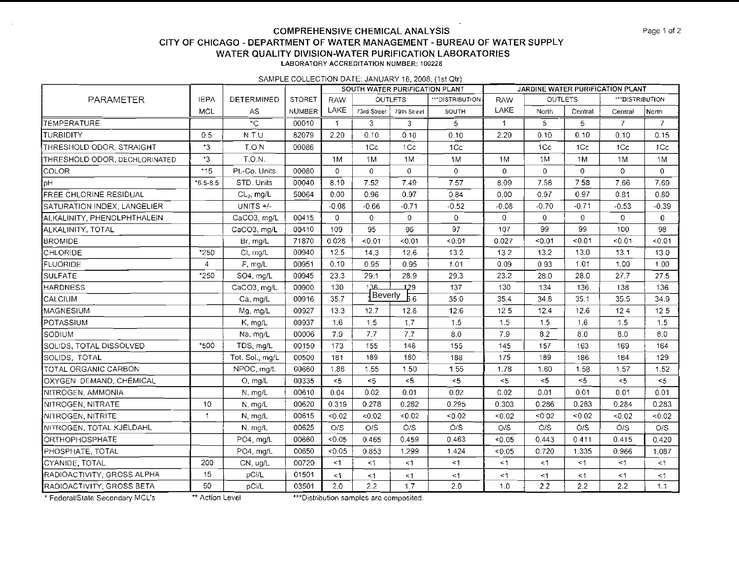#### **COMPREHENSIVE CHEMICAL ANALYSIS CITY OF CHICAGO -DEPARTMENT OF WATER MANAGEMENT -BUREAU OF WATER SUPPLY WATER QUALITY DIVISION-WATER PURIFICATION LABORATORIES LABORATORV ACCREDlTATlON NLMBEK. 100228**

SAMPLE COLLECTION DATE: JANUARY 16.2008, (1st Qtr)

|                               |                |                       |               |                      | SOUTH WATER PURIFICATION PLANT |                |                 | JARDINE WATER PURIFICATION PLANT |                |                |                |             |  |
|-------------------------------|----------------|-----------------------|---------------|----------------------|--------------------------------|----------------|-----------------|----------------------------------|----------------|----------------|----------------|-------------|--|
| PARAMETER                     | <b>IEPA</b>    | DETERMINED            | <b>STORET</b> | <b>RAW</b>           |                                | <b>OUTLETS</b> | ***DISTRIBUTION | <b>RAW</b>                       | <b>OUTLETS</b> |                | **DISTRIBUTION |             |  |
|                               | MCL            | AS                    | <b>NUMBER</b> | LAKE                 | 73rd Street                    | 79th Street    | SOUTH           | LAKE                             | North          | Central        | Central        | North       |  |
| <b>TEMPERATURE</b>            |                | $\overline{\text{c}}$ | 00010         | $\blacktriangleleft$ | 3                              | 3              | 5               | $\mathbf{1}$                     | 5              | 5              | $\overline{7}$ | 7           |  |
| <b>ITURBIDITY</b>             | 0.5            | N.T.U.                | 82079         | 2.20                 | 0.10                           | 0.10           | 0.10            | 2.20                             | 0.10           | 0.10           | 0.10           | 0.15        |  |
| THRESHOLD ODOR, STRAIGHT      | $^{\star}3$    | T.O.N                 | 00086         |                      | 1Cc                            | 1 <sub>C</sub> | 1Cc             |                                  | 1Cc            | 1Cc            | 1Cc            | 1Cc         |  |
| THRESHOLD ODOR, DECHLORINATED | $*3$           | TON.                  |               | 1M                   | 1M                             | 1M             | 1M              | 1M                               | 1M             | 1M             | 1M             | 1 M         |  |
| <b>COLOR</b>                  | $*15$          | Pt.-Co. Units         | 00080         | $\overline{0}$       | $\mathbf{0}$                   | 0              | $\overline{0}$  | $\mathbf 0$                      | 0              | $\overline{0}$ | 0              | $\Omega$    |  |
| loH                           | $*6.5 - 8.5$   | STD. Units            | 00040         | 8.10                 | 7.52                           | 7.49           | 7.57            | 8.09                             | 7.58           | 7.58           | 7.66           | 7.69        |  |
| <b>FREE CHLORINE RESIDUAL</b> |                | $CL2$ , mg/L          | 50064         | 0.00                 | 0.96                           | 0.97           | 0.84            | 0.00                             | 0.97           | 0.97           | 0.81           | 0.80        |  |
| SATURATION INDEX, LANGELIER   |                | UNITS +/-             |               | $-0.08$              | $-0.66$                        | $-0.71$        | $-0.52$         | $-0.08$                          | $-0.70$        | $-0.71$        | $-0.53$        | $-0.39$     |  |
| ALKALINITY, PHENOLPHTHALEIN   |                | CaCO3, mg/L           | 00415         | $\Omega$             | $\Omega$                       | $\mathbf{0}$   | $\circ$         | $\mathbf 0$                      | $\overline{0}$ | $\overline{0}$ | 0              | $\mathbf 0$ |  |
| ALKALINITY, TOTAL             |                | CaCO3, mg/L           | 00410         | 109                  | 95                             | 96             | 97              | 107                              | 99             | 99             | 100            | 98          |  |
| <b>BROMIDE</b>                |                | Br, mg/L              | 71870         | 0.028                | < 0.01                         | < 0.01         | 50.01           | 0.027                            | < 0.01         | 50.01          | 0.01           | 50.01       |  |
| CHLORIDE                      | *250           | CI, mg/L              | 00940         | 12.5                 | 14.3                           | 12.6           | 13.2            | 132                              | 13.2           | 13.0           | 13.1           | 13.0        |  |
| FLUORIDE                      | $\overline{4}$ | F, mg/L               | 00951         | 0.10                 | 0.95                           | 0.95           | 1.01            | 0.09                             | 093            | 1.01           | 1.00           | 1.00        |  |
| <b>SULFATE</b>                | *250           | SO4, mg/L             | 00945         | 23.3                 | 29.1                           | 28.9           | 29.3            | 23.2                             | 28.0           | 28.0           | 27.7           | 27.5        |  |
| <b>HARDNESS</b>               |                | CaCO3, mg/L           | 00900         | 130                  | 136                            | 129            | 137             | 130                              | 134            | 136            | 138            | 136         |  |
| CALCIUM                       |                | Ca, mg/L              | 00916         | 35.7                 | Beverly                        | b.6            | 35.0            | 35.4                             | 34.8           | 35.1           | 35.5           | 34.9        |  |
| MAGNESIUM                     |                | Mg. mg/L              | 00927         | 13.3                 | 12.7                           | 12.8           | 12.6            | 12 <sub>5</sub>                  | 12.4           | 12.6           | 124            | 125         |  |
| POTASSIUM                     |                | K, mg/L               | 00937         | 1.6                  | 1.5                            | 1.7            | 15              | 1.5                              | 1.5            | 1.6            | 1,5            | 1.5         |  |
| SODIUM                        |                | Na, mg/L              | 00006         | 7.9                  | 7.7                            | 7.7            | 8.0             | 7.9                              | 8.2            | 8.0            | 8.0            | 8.0         |  |
| SOLIDS, TOTAL DISSOLVED       | *500           | TDS, mg/L             | 00150         | 173                  | 155                            | 148            | 155             | 145                              | 157            | 163            | 169            | 164         |  |
| SOLIDS, TOTAL                 |                | Tot. Sol., mg/L       | 00500         | 181                  | 189                            | 180            | 188             | 175                              | 189            | 186            | 184            | 129         |  |
| TOTAL ORGANIC CARBON          |                | NPOC, mg/L            | 00680         | 1.86                 | 1.55                           | 1.50           | 1.55            | 1.78                             | 1.60           | 1.58           | 1.57           | 1.52        |  |
| OXYGEN DEMAND, CHEMICAL       |                | O, mg/L               | 00335         | $<$ 5                | $<$ 5                          | $5 -$          | < 5             | < 5                              | < 5            | 5              | < 5            | $<$ 5       |  |
| NITROGEN, AMMONIA             |                | N, mg/L               | 00610         | 0.04                 | 0.02                           | 0.01           | 0.02            | 0.02                             | 0.01           | 0.01           | 0.01           | 0.01        |  |
| NITROGEN, NITRATE             | 10             | N, mg/L               | 00620         | 0.319                | 0.278                          | 0.282          | 0.295           | 0.303                            | 0.286          | 0.283          | 0.284          | 0.283       |  |
| NITROGEN, NITRITE             | $\uparrow$     | N. mg/L               | 00615         | < 0.02               | < 0.02                         | < 0.02         | < 0.02          | < 0.02                           | < 0.02         | < 0.02         | < 0.02         | < 0.02      |  |
| NITROGEN, TOTAL KJELDAHL      |                | N mg/L                | 00625         | O/S                  | O/S                            | O/S            | O/S             | O/S                              | O/S            | O/S            | O/S            | O/S         |  |
| ORTHOPHOSPHATE                |                | PO4, mg/L             | 00660         | < 0.05               | 0.465                          | 0.459          | 0.463           | < 0.05                           | 0.443          | 0.411          | 0.415          | 0.420       |  |
| PHOSPHATE, TOTAL              |                | PO4, mg/L             | 00650         | < 0.05               | 0.853                          | 1.299          | 1.424           | < 0.05                           | 0.720          | 1.335          | 0.966          | 1.087       |  |
| CYANIDE, TOTAL                | 200            | CN, ug/L              | 00720         | $\leq$ 1             | $\leq$ 1                       | < 1            | $\leq$ 1        | $\leq$ 1                         | $\leq$ 1       | $\leq$ 1       | $\leq$ 1       | $\leq$ 1    |  |
| RADIOACTIVITY, GROSS ALPHA    | 15             | pCi/L                 | 01501         | <1                   | $<$ 1                          | $<$ 1          | $\leq$ 1        | <1                               | $<$ 1          | $<$ 1          | $<$ 1          | $\leq$ 1    |  |
| RADIOACTIVITY GROSS BETA      | 50             | pCi/L                 | 03501         | 2.0                  | 2.2                            | 1.7            | 2.0             | 1.0                              | 2.2            | 2.2            | 2.2            | 1.1         |  |

\* Federal/State Secondary MCL's \*\*\*\* Action Level \*\*\*\*\*\* Distribution samples are composited.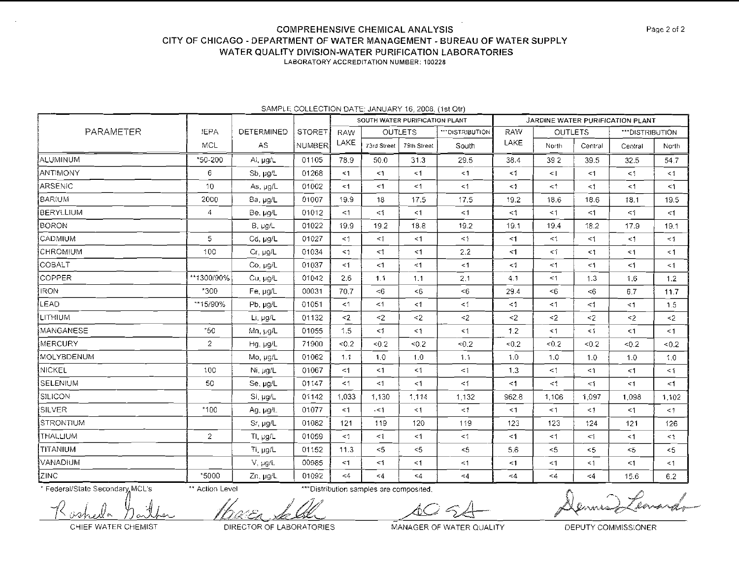#### **COMPREHENSIVE CHEMICAL ANALYSIS** CITY OF CHICAGO - DEPARTMENT OF WATER MANAGEMENT - BUREAU OF WATER SUPPLY WATER QUALITY DIVISION-WATER PURIFICATION LABORATORIES LABORATORY ACCREDITATION NUMBER: 100228

|                  |                 |                   |               |            | SOUTH WATER PURIFICATION PLANT |             |                  | JARDINE WATER PURIFICATION PLANT |                |           |                 |          |
|------------------|-----------------|-------------------|---------------|------------|--------------------------------|-------------|------------------|----------------------------------|----------------|-----------|-----------------|----------|
| PARAMETER        | JEPA            | <b>DETERMINED</b> | <b>STORET</b> | <b>RAW</b> | <b>OUTLETS</b>                 |             | *** DISTRIBUTION | <b>RAW</b>                       | <b>OUTLETS</b> |           | ***DISTRIBUTION |          |
|                  | <b>MCL</b>      | AS                | NUMBER        | LAKE       | 73rd Street                    | 79th Street | South            | LAKE                             | North          | Central   | Central         | North    |
| <b>ALUMINUM</b>  | *50-200         | Al, $\mu q/L$     | 01105         | 78.9       | 50.0                           | 31.3        | 29.5             | 38.4                             | 392            | 39.5      | 32.5            | 54.7     |
| ANTIMONY         | 6               | Sb, µg/L          | 01268         | < 1        | $\leq$ 1                       | $<$ 1       | $<$ 1            | <1                               | $\leq$         | <1        | $\leq 1$        | $\leq$ 1 |
| ARSENIC          | 10 <sub>1</sub> | As, µg/L          | 01002         | <1         | $\leq$ 1                       | <1          | $\leq$ 1         | $\leq 1$                         | <1             | $\leq 1$  | $\leq$ 1        | $\leq 1$ |
| <b>BARIUM</b>    | 2000            | Ba, µg/L          | 01007         | 19.9       | 18                             | 17.5        | 17.5             | 19.2                             | 18.6           | 18.6      | 18.1            | 19.5     |
| BERYLLIUM        | 4               | Be, µq/L          | 01012         | $<$ 1      | $\leq 1$                       | <1          | $\leq 1$         | <1                               | $\leq 1$       | $<$ 1     | <1              | $<$ 1    |
| <b>BORON</b>     |                 | B, ug/L           | 01022         | 19.9       | 19.2                           | 18.8        | 19.2             | 19.1                             | 19.4           | 18.2      | 17.9            | 19.1     |
| <b>CADMIUM</b>   | 5               | Cd, ug/L          | 01027         | $\leq$ 1   | < 1                            | $\leq$ 1    | $\leq$ 1         | $<$ 1                            | $\leq$ 1       | $\leq$ 1  | $\leq$ 1        | $\leq 1$ |
| CHROMIUM         | 100             | Cr, µg/L          | 01034         | $<$ 1      | $\leq$ 1                       | <1          | 2.2              | $<^{\prime}$                     | $\leq 1$       | $\leq$ 1  | < 1             | $\leq$ 1 |
| COBALT           |                 | Co, µg/L          | 01037         | <1         | $\leq$ 1                       | <1          | $\leq$ 1         | <1                               | $\leq$ 1       | <1        | $\leq$ 1        | $\leq$ 1 |
| COPPER           | **1300/90%      | Cu, ug/L          | 01042         | 2.6        | 1.1                            | 1.1         | 2.1              | 4.1                              | $\leq$ 1       | 1.3       | 1.6             | 1.2      |
| <b>IRON</b>      | $*300$          | Fe, µg/L          | 00031         | 70.7       | < 6                            | <6          | < 6              | 29.4                             | $<$ 6          | <6        | 6.7             | 11.7     |
| LEAD             | **15/90%        | Pb, $\mu g/L$     | 01051         | <1         | $\leq$ 1                       | <1          | $<$ 1            | $\leq$ 1                         | $\leq 1$       | $<$ 1     | $\leq 1$        | 1.5      |
| LITHIUM          |                 | Li. µg/L          | 01132         | $\leq$     | $\leq$ 2                       | $\leq$ 2    | $2$              | $2$                              | $\leq$         | $<$ $\!2$ | $\leq$          | $\leq$   |
| MANGANESE        | $*50$           | Mn, ug/L          | 01055         | 1.5        | $\leq 1$                       | $\leq$ 1    | <1               | 1.2                              | $\leq 1$       | $\leq 1$  | <1              | <1       |
| <b>MERCURY</b>   | $\mathbf{2}$    | Hg, ug/L          | 71900         | $-0.2$     | < 0.2                          | $5.0 -$     | 50.2             | $-0.2$                           | < 0.2          | < 0.2     | < 0.2           | <0.2     |
| MOLYBDENUM       |                 | Mo, µg/L          | 01062         | 1.1        | 1.0                            | 1.0         | 1.1              | 1.0                              | 1.0            | 1.0       | 1.0             | 1.0      |
| <b>NICKEL</b>    | 100             | Ni, ug/L          | 01067         | $<$ 1      | < 1                            | $\leq$ 1    | $\leq$ 1         | 1.3                              | <1             | $\leq 1$  | $<$ 1           | $\leq 1$ |
| SELENIUM         | 50              | Se, µg/L          | 01147         | <1         | $\leq$ 1                       | $\leq 1$    | $\leq$ 1         | $<$ 1                            | <1             | $\leq$ 1  | <1              | $\leq$ 1 |
| <b>SILICON</b>   |                 | Si, µg/L          | 01142         | 1,033      | 1,130                          | 1,114       | 1,132            | 962.8                            | 1,106          | 1,097     | 1,098           | 1,102    |
| <b>SILVER</b>    | *100            | Ag, µg/L          | 01077         | <1         | $\sim$ 1                       | $\leq 1$    | $<$ 1            | $\leq 1$                         | $\leq 1$       | $\leq$ 1  | $\leq$ 1        | $\leq$ 1 |
| <b>STRONTIUM</b> |                 | Sr, µg/L          | 01082         | 121        | 119                            | 120         | 119              | 123                              | 123            | 124       | 121             | 126      |
| THALLIUM         | $\overline{2}$  | TI, $\mu g/L$     | 01059         | $\leq$ 1   | $\leq$ 1                       | $\leq 1$    | $\leq$ 1         | $\leq 1$                         | $\leq$ 1       | <1        | $\leq 1$        | $\leq$ 1 |
| TITANIUM         |                 | Ti, µg/L          | 01152         | 11.3       | $<$ 5                          | $<$ 5       | $<$ 5            | 5.6                              | $\leq$ 5       | < 5       | $5$             | $<$ 5    |
| VANADIUM         |                 | $V, \mu g/L$      | 00985         | <1         | $<$ 1                          | $\leq$ 1    | $\leq$ 1         | $<$ 1                            | <1             | $\leq 1$  | <1              | $\leq$ 1 |
| ZINC             | *5000           | Zn, µg/L          | 01092         | $<$ 4      | $\leq 4$                       | $\leq$ 4    | $\leq 4$         | <4                               | < 4            | $<$ 4     | 15.6            | 6.2      |

#### SAMPLE COLLECTION DATE: JANUARY 16, 2008, (1st Qtr)

\* Federal/State Secondary MCL's

\*\* Action Level

\*\*\* Distribution samples are composited.

 $\curvearrowright$ Îл.

CHIEF WATER CHEMIST

DIRECTOR OF LABORATORIES

MANAGER OF WATER QUALITY

DEPUTY COMMISSIONER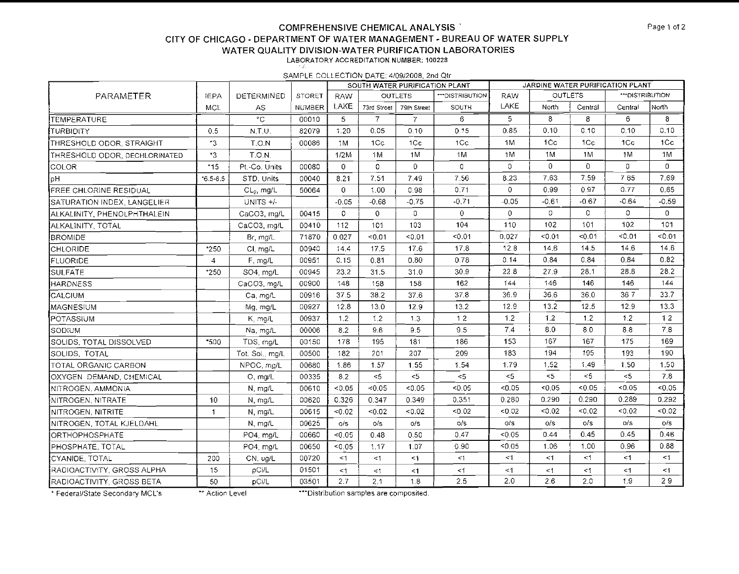## **COMPREHENSIVE CHEMICAL ANALYSIS** CITY OF CHICAGO - DEPARTMENT OF WATER MANAGEMENT - BUREAU OF WATER SUPPLY WATER QUALITY DIVISION-WATER PURIFICATION LABORATORIES LABORATORY ACCREDITATION NUMBER: 100228

SAMPLE COLLECTION DATE: 4/09/2008, 2nd Qtr

|                               |                |                 |               |              | SOUTH WATER PURIFICATION PLANT |                |                | JARDINE WATER PURIFICATION PLANT |                |                |                  |                |  |
|-------------------------------|----------------|-----------------|---------------|--------------|--------------------------------|----------------|----------------|----------------------------------|----------------|----------------|------------------|----------------|--|
| PARAMETER                     | <b>IEPA</b>    | DETERMINED      | <b>STORET</b> | <b>RAW</b>   |                                | <b>OUTLETS</b> | **DISTRIBUTION | <b>RAW</b>                       | <b>OUTLETS</b> |                | *** DISTRIBUTION |                |  |
|                               | MCL            | AS              | <b>NUMBER</b> | LAKE         | 73rd Street                    | 79th Street    | <b>SOUTH</b>   | LAKE                             | North          | Central        | Central          | North          |  |
| TEMPERATURE                   |                | $^{\circ}$ C    | 00010         | 5            | 7                              | $\overline{7}$ | 6              | 5                                | 8              | 8              | 6.               | 8              |  |
| <b>TURBIDITY</b>              | 0.5            | N.T.U.          | 82079         | 1.20         | 0.05                           | 0.10           | 0.15           | 0.85                             | 0.10           | 0.10           | 0.10             | 0.10           |  |
| THRESHOLD ODOR, STRAIGHT      | $\cdot$ 3      | T.O.N           | 00086         | 1M           | 1Cc                            | 1Cc            | 1Cc            | 1M                               | 1Cc            | 1 <sub>C</sub> | 1Cc              | 1 <sub>C</sub> |  |
| THRESHOLD ODOR, DECHLORINATED | *3             | T.O.N.          |               | 1/2M         | 1M                             | 1M             | 1M             | 1M                               | 1M             | 1M             | 1 <sub>M</sub>   | 1 <sub>N</sub> |  |
| <b>COLOR</b>                  | $*15$          | Pt.-Co. Units   | 00080         | $\mathbf{0}$ | 0                              | $\Omega$       | 0              | $\Omega$                         | $\overline{0}$ | $\mathbf 0$    | $\overline{0}$   | $\Omega$       |  |
| рH                            | $6.5 - 8.5$    | STD. Units      | 00040         | 8.21         | 7.51                           | 7.49           | 7.56           | 8.23                             | 7.63           | 7.59           | 765              | 7.69           |  |
| FREE CHLORINE RESIDUAL        |                | $CL2$ , mg/L    | 50064         | $\mathbf{0}$ | 1.00                           | 0.98           | 0.71           | $\overline{0}$                   | 0.99           | 0.97           | 0.77             | 0.65           |  |
| SATURATION INDEX, LANGELIER   |                | UNITS $+/-$     |               | $-0.05$      | $-0.68$                        | $-0.75$        | $-0.71$        | $-0.05$                          | $-0.61$        | $-0.67$        | $-0.64$          | $-0.59$        |  |
| ALKALINITY, PHENOLPHTHALEIN   |                | CaCO3, mg/L     | 00415         | $\mathbf{0}$ | $\overline{0}$                 | $\overline{0}$ | $\overline{0}$ | $\mathbf{0}$                     | $\circ$        | 0              | 0                | $\Omega$       |  |
| ALKALINITY, TOTAL             |                | CaCO3 mg/L      | 00410         | 112          | 101                            | 103            | 104            | 110                              | 102            | 101            | 102              | 101            |  |
| <b>BROMIDE</b>                |                | Br, mg/L        | 71870         | 0.027        | < 0.01                         | < 0.01         | 0.01           | 0.027                            | < 0.01         | < 0.01         | < 0.01           | < 0.01         |  |
| CHLORIDE                      | *250           | CI, mg/L        | 00940         | 14.4         | 17.5                           | 17.6           | 17.8           | 12.8                             | 14,6           | 14.5           | 14.6             | 14.6           |  |
| FLUORIDE                      | $\overline{4}$ | F, mg/L         | 00951         | 0.15         | 0.81                           | 0.80           | 0.78           | 0.14                             | 0.84           | 0.84           | 0.84             | 0.82           |  |
| <b>SULFATE</b>                | *250           | SO4, mg/L       | 00945         | 23.2         | 31.5                           | 31.0           | 30.9           | 22.8                             | 27.9           | 28.1           | 28.6             | 28.2           |  |
| <b>HARDNESS</b>               |                | CaCO3, mg/L     | 00900         | 148          | 158                            | 158            | 162            | 144                              | 146            | 146            | 146              | 144            |  |
| <b>CALCIUM</b>                |                | Ca, mg/L        | 00916         | 37.5         | 38.2                           | 37.6           | 37.8           | 36.9                             | 36.6           | 36.0           | 367              | 33.7           |  |
| MAGNESIUM                     |                | Mg, mg/L        | 00927         | 12.8         | 13.0                           | 12.9           | 13.2           | 12.9                             | 13.2           | 12.5           | 12.9             | 13.3           |  |
| POTASSIUM                     |                | K, mg/L         | 00937         | 1.2          | 1.2                            | 1.3            | 12             | 1.2                              | 1.2            | 1.2            | 1.2              | 12             |  |
| SODIUM                        |                | Na, mg/L        | 00006         | 8.2          | 9.6                            | 9.5            | 9.5            | 7.4                              | 8.0            | 8.0            | 8.3              | 7.8            |  |
| SOLIDS, TOTAL DISSOLVED       | *500           | TDS, mg/L       | 00150         | 178          | 195                            | 181            | 186            | 153                              | 167            | 167            | 175              | 169            |  |
| ISOLIDS, TOTAL                |                | Tot. Sol., mg/L | 00500         | 182          | 201                            | 207            | 209            | 183                              | 194            | 195            | 193              | 190            |  |
| TOTAL ORGANIC CARBON          |                | NPOC, ma/L      | 00680         | 1.86         | 1.57                           | 1.55           | 1.54           | 1.79                             | 1.52           | 1.49           | 1.50             | 1.50           |  |
| OXYGEN DEMAND CHEMICAL        |                | O, ma/L         | 00335         | 8.2          | < 5                            | $<$ 5          | $<$ 5          | $<$ 5                            | $<$ 5          | $<$ 5          | $<$ 5            | 7.8            |  |
| NITROGEN, AMMONIA             |                | N. mg/L         | 00610         | < 0.05       | < 0.05                         | < 0.05         | < 0.05         | < 0.05                           | < 0.05         | < 0.05         | $-0.05$          | < 0.05         |  |
| INITROGEN, NITRATE            | 10             | N mg/L          | 00620         | 0.326        | 0.347                          | 0.349          | 0.351          | 0.280                            | 0.290          | 0.290          | 0.289            | 0.292          |  |
| INITROGEN, NITRITE            | $\mathbf{1}$   | N mg/L          | 00615         | 0.02         | < 0.02                         | < 0.02         | 0.02           | < 0.02                           | < 0.02         | < 0.02         | < 0.02           | 0.02           |  |
| NITROGEN, TOTAL KJELDAHL      |                | N, mg/L         | 00625         | $\circ$ /s   | o/s                            | O/S            | o/s            | 0.5                              | 0/s            | o/s            | 0/s              | o/s            |  |
| <b> ORTHOPHOSPHATE</b>        |                | PO4, mg/L       | 00660         | 0.05         | 0.48                           | 0.50           | 0.47           | < 0.05                           | 0.44           | 0.45           | 0.45             | 0.46           |  |
| <b>PHOSPHATE, TOTAL</b>       |                | PO4, mg/L       | 00650         | < 0.05       | 1.17                           | 1.07           | 0.90           | < 0.05                           | 1.06           | 1.00           | 0.96             | 0.88           |  |
| CYANIDE, TOTAL                | 200            | CN, ug/L        | 00720         | $<$ 1        | <1                             | <1             | <1             | $\leq$ 1                         | $\leq$ 1       | $\leq$ 1       | $<$ 1            | $\leq$ 1       |  |
| RADIOACTIVITY. GROSS ALPHA    | 15             | pCi/L           | 01501         | $<$ 1        | <1                             | $<$ 1          | <1             | <1                               | $\leq 1$       | <1             | $<$ 1            | <1             |  |
| RADIOACTIVITY, GROSS BETA     | 50             | pCi/L           | 03501         | 2.7          | 2.1                            | 1.8            | 2.5            | 2.0                              | 2.6            | 2.0            | 1.9              | 29             |  |

\* Federal/State Secondary MCL's

\*\* Action Level

\*\*\*Distribution samples are composited.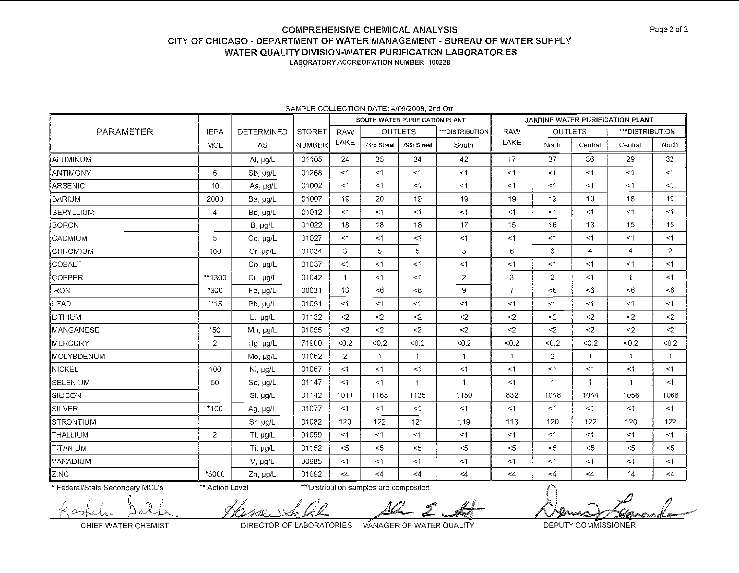# **COMPREHENSIVE CHEMICAL ANALYSIS CITY OF CHICAGO -DEPARTMENT OF WATER MANAGEMENT -BUREAU OF WATER SUPPLY WATER QUALITY DIVISION-WATER PURIFICATION LABORATORIES**

LABORATORY ACCREDITATION NUMBER: **100228** 

|                 |                |                   |               | SOUTH WATER PURIFICATION PLANT |                |                |                  |                | JARDINE WATER PURIFICATION PLANT |              |                 |                      |  |  |
|-----------------|----------------|-------------------|---------------|--------------------------------|----------------|----------------|------------------|----------------|----------------------------------|--------------|-----------------|----------------------|--|--|
| PARAMETER       | <b>IEPA</b>    | <b>DETERMINED</b> | <b>STORET</b> | <b>RAW</b>                     |                | <b>OUTLETS</b> | *** DISTRIBUTION | <b>RAW</b>     | <b>OUTLETS</b>                   |              | ***DISTRIBUTION |                      |  |  |
|                 | MCL            | <b>AS</b>         | <b>NUMBER</b> | LAKE                           | 73rd Streel    | 79th Street    | South            | LAKE           | North                            | Central      | Central         | North                |  |  |
| ALUMINUM        |                | Al, µg/L          | 01105         | 24                             | 35             | 34             | 42               | 17             | 37                               | 36           | 29              | 32 <sub>2</sub>      |  |  |
| ANTIMONY        | 6              | Sb, ug/L          | 01268         | $<$ 1                          | $<$ 1          | $\leq$ 1       | < 1              | <1             | $\leq$ 1                         | $<$ 1        | $\leq 1$        | <1                   |  |  |
| ARSENIC         | 10             | As, $\mu g/L$     | 01002         | $<$ 1                          | $<$ 1          | $\leq$ 1       | $\leq$ 1         | $\leq$ 1       | $\leq$ 1                         | <1           | <1              | $\leq$ 1             |  |  |
| BARIUM          | 2000           | Ba, µg/L          | 01007         | 19                             | 20             | 19             | 19               | 19             | 19                               | 19           | 18              | 19                   |  |  |
| BERYLLIUM       | 4              | Be, ug/L          | 01012         | <1                             | $\leq$ 1       | $\leq$ 1       | <1               | $\leq$ 1       | $\leq$ 1                         | $<$ 1        | $\leq$ 1        | $\leq 1$             |  |  |
| BORON           |                | $B, \mu g/L$      | 01022         | 18                             | 18             | 18             | 17               | 15             | 16                               | 13           | 15              | 15                   |  |  |
| CADMIUM         | 5              | Cd, µg/L          | 01027         | <1                             | $\leq$ 1       | $\leq$ 1       | <1               | $\leq$ 1       | $\leq$ 1                         | <1           | $\leq$ 1        | $<$ 1                |  |  |
| ÍCHROMIUM       | 100            | Cr, µg/L          | 01034         | 3                              | $\overline{5}$ | 5              | 5                | 6              | 6                                | 4            | $\overline{4}$  | $\overline{2}$       |  |  |
| COBALT          |                | Co, ug/L          | 01037         | $\leq$ 1                       | $<$ 1          | $\leq$ 1       | <1               | $\leq$ 1       | $\leq$ 1                         | <1           | <1              | $<$ 1                |  |  |
| COPPER          | **1300         | Cu, µg/L          | 01042         | $\mathbf{1}$                   | $<$ 1          | <1             | $\overline{c}$   | $\mathfrak{Z}$ | $\overline{2}$                   | <1           | $\mathbf{1}$    | $<$ 1                |  |  |
| <b>IRON</b>     | *300           | Fe, ug/L          | 00031         | 13                             | < 6            | <6             | 9                | $\overline{7}$ | <6                               | <6           | < 6             | $6$                  |  |  |
| <b>LEAD</b>     | $*15$          | Pb, µg/L          | 01051         | <1                             | <1             | $\leq$ 1       | <1               | $\leq$ 1       | $\leq$ 1                         | <1           | $\leq$ 1        | $\leq$ 1             |  |  |
| <b>LITHIUM</b>  |                | Li, µg/L          | 01132         | $2$                            | $2$            | $\leq$         | $2$              | $2$            | $\leq$                           | $2$          | $2$             | $<$ 2                |  |  |
| IMANGANESE      | $*50$          | Mn, µg/L          | 01055         | $2$                            | $\leq$ 2       | $\sim$ 2       | $2$              | $\leq$ 2       | $\leq$                           | $\leq$ 2     | $\leq$ 2        | $\leq$               |  |  |
| MERCURY         | $\overline{2}$ | Hg, µg/L          | 71900         | $-0.2$                         | < 0.2          | < 0.2          | < 0.2            | <0.2           | < 0.2                            | < 0.2        | < 0.2           | < 0.2                |  |  |
| MOLYBDENUM      |                | Mo, µg/L          | 01062         | $\overline{2}$                 | 1              | $\mathbf 1$    | $\mathbf{1}$     | $\mathbf{1}$   | $\overline{2}$                   | $\mathbf{1}$ | 1               | $\blacktriangleleft$ |  |  |
| NICKEL          | 100            | Ni, µg/L          | 01067         | <1                             | $\leq$ 1       | $\leq$ 1       | <1               | <1             | $<$ 1                            | <1           | $\leq$ 1        | <1                   |  |  |
| SELENIUM        | 50             | Se, ug/L          | 01147         | <1                             | $<$ 1          | $\mathbf{1}$   | $\mathbf{1}$     | $\leq$ 1       | $\mathbf 1$                      | 1            | $\mathbf{1}$    | <1                   |  |  |
| SILICON         |                | Si, µg/L          | 01142         | 1011                           | 1168           | 1135           | 1150             | 832            | 1048                             | 1044         | 1056            | 1068                 |  |  |
| SILVER          | $*100$         | Ag, µg/L          | 01077         | $<$ 1                          | $<$ 1          | $\leq 1$       | $<$ 1            | <1             | $<$ 1                            | $\leq 1$     | $\leq 1$        | $\leq$ 1             |  |  |
| STRONTIUM       |                | Sr, µg/L          | 01082         | 120                            | 122            | 121            | 119              | 113            | 120                              | 122          | 120             | 122                  |  |  |
| THALLIUM        | $\overline{2}$ | TI, µg/L          | 01059         | $<$ 1                          | $<$ 1          | <1             | <1               | $\leq$ 1       | $\leq$ 1                         | $\leq 1$     | <1              | <1                   |  |  |
| <b>TITANIUM</b> |                | Ti, µg/L          | 01152         | < 5                            | $<$ 5          | $5$            | <                | $<$ 5          | $\sim$ 5                         | $<$ 5        | $\sim$ 5        | $<$ 5                |  |  |
| VANADIUM        |                | V, µg/L           | 00985         | <1                             | $<$ 1          | <1             | <1               | <1             | <1                               | <1           | $\leq 1$        | $\leq$ 1             |  |  |
| ZINC            | *5000          | Zn, ug/L          | 01092         | $<$ 4                          | $<\!\! 4$      | $\leq 4$       | $<\!\!4$         | $\leq 4$       | $\leq$ 4                         | $\leq 4$     | 14              | $<$ 4                |  |  |

#### SAMPLE COLLECTION DATE: 4/09/2008, 2nd Qtr

\* Federal/State Secondary MCL's \*\* Action Level \*\*\* Distribution samples are composited.

CHIEF WATER CHEMIST DIRECTOR OF LABORATORIES MANAGER OF WATER QUALITY DEPUTY COMMISSIONER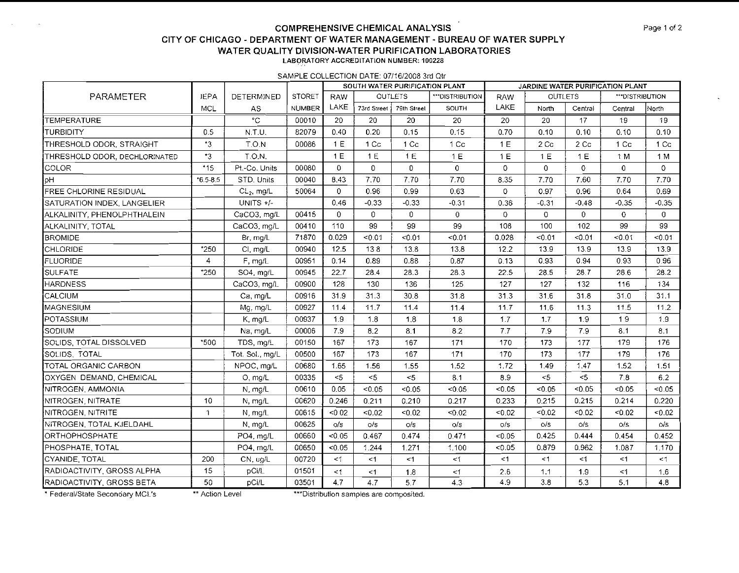### **COMPREHENSIVE CHEMICAL ANALYSIS Page 1 of 2 Page 1 of 2 CITY OF CHICAGO** - **DEPARTMENT OF WATER MANAGEMENT** - **BUREAU OF WATER SUPPLY WATER QUALITY DIVISION-WATER PURIFICATION LABORATORIES LABORATORY ACCREDITATION NUMBER: 100228**

**SAMPLE COLLECTION DATE: 0711612008 3rd Qtr** 

|                               |                |                   |               |              | SOUTH WATER PURIFICATION PLANT |                 |                | JARDINE WATER PURIFICATION PLANT |                |              |                 |                |  |
|-------------------------------|----------------|-------------------|---------------|--------------|--------------------------------|-----------------|----------------|----------------------------------|----------------|--------------|-----------------|----------------|--|
| PARAMETER                     | <b>JEPA</b>    | <b>DETERMINED</b> | <b>STORET</b> | <b>RAW</b>   |                                | <b>OUTLETS</b>  | **DISTRIBUTION | RAW                              | <b>OUTLETS</b> |              | ***DISTRIBUTION |                |  |
|                               | <b>MCL</b>     | AS.               | <b>NUMBER</b> | LAKE         | 73rd Street   79th Street      |                 | SOUTH          | LAKE                             | North          | Central      | Central         | North          |  |
| <b>TEMPERATURE</b>            |                | $^{\circ}$ C      | 00010         | 20           | 20                             | 20              | 20             | 20                               | 20             | 17           | 19              | 19             |  |
| TURBIDITY                     | 0.5            | $N.T$ U.          | 82079         | 0.40         | 0.20                           | 0.15            | 0.15           | 0.70                             | 0.10           | 0.10         | 0.10            | 0.10           |  |
| THRESHOLD ODOR, STRAIGHT      | $^{\bullet}3$  | T.O.N             | 00086         | 1E           | 1 Cc                           | 1 <sub>cc</sub> | 1 Cc           | 1E                               | 2 Cc           | 2 Cc         | 1 <sub>C</sub>  | 1 <sub>C</sub> |  |
| THRESHOLD ODOR, DECHLORINATED | $\cdot$ 3      | T.O.N.            |               | 1E           | 1 E                            | 1E              | 1 E            | 1 E                              | 1 E            | 1E           | 1 M             | 1 M            |  |
| COLOR                         | $*15$          | Pt.-Co. Units     | 00080         | $\mathbf{0}$ | 0                              | $\mathbf{0}$    | $\overline{0}$ | $\circ$                          | $\mathbf 0$    | $\circ$      | 0               | $\mathbf 0$    |  |
| pН                            | $6.5 - 8.5$    | STD. Units        | 00040         | 8.43         | 7.70                           | 7.70            | 7.70           | 8.35                             | 7.70           | 7.60         | 7.70            | 7.70           |  |
| FREE CHLORINE RESIDUAL        |                | $CL2$ , mg/L      | 50064         | 0            | 0.96                           | 0.99            | 0.63           | $\circ$                          | 0.97           | 0.96         | 0.64            | 0.69           |  |
| SATURATION INDEX, LANGELIER   |                | UNITS $+/$        |               | 0.46         | $-0.33$                        | $-0.33$         | $-0.31$        | 0.36                             | $-0.31$        | $-0.48$      | $-0.35$         | $-0.35$        |  |
| ALKALINITY, PHENOLPHTHALEIN   |                | CaCO3, mg/L       | 00415         | $\mathbf{0}$ | $\mathbf{0}$                   | $\mathbf{0}$    | $\overline{0}$ | $\circ$                          | 0              | $\mathbf{0}$ | 0               | $\overline{0}$ |  |
| ALKALINITY, TOTAL             |                | CaCO3, mg/L       | 00410         | 110          | 99                             | 99              | 99             | 108                              | 100            | 102          | 99              | 99             |  |
| <b>BROMIDE</b>                |                | Br, mg/L          | 71870         | 0.029        | < 0.01                         | < 0.01          | 50.01          | 0.028                            | < 0.01         | < 0.01       | < 0.01          | < 0.01         |  |
| CHLORIDE                      | *250           | CI, mg/L          | 00940         | 12.5         | 138                            | 13.8            | 13.8           | 12.2                             | 13.9           | 13.9         | 13.9            | 13.9           |  |
| <b>FLUORIDE</b>               | $\overline{4}$ | F, mg/L           | 00951         | 0.14         | 0.89                           | 0.88            | 0.87           | 0.13                             | 0.93           | 0.94         | 0.93            | 0.96           |  |
| <b>SULFATE</b>                | *250           | SO4, mg/L         | 00945         | 22.7         | 28.4                           | 28.3            | 28.3           | 22.5                             | 28.5           | 28.7         | 28.6            | 28.2           |  |
| <b>HARDNESS</b>               |                | CaCO3, mg/L       | 00900         | 128          | 130                            | 136             | 125            | 127                              | 127            | 132          | 116             | 134            |  |
| CALCIUM                       |                | Ca, mg/L          | 00916         | 31.9         | 31.3                           | 30.8            | 31.8           | 31.3                             | 31.6           | 31.8         | 31.0            | 31.1           |  |
| MAGNESIUM                     |                | Mg, mg/L          | 00927         | 11.4         | 11.7                           | 11.4            | 11.4           | 11.7                             | 11.6           | 11.3         | 11.5            | 11.2           |  |
| POTASSIUM                     |                | $K$ , mg/L        | 00937         | 1.9          | 1.8                            | 1,8             | 1.8            | 1.7                              | 1.7            | 1.9          | 19              | 1.9            |  |
| SODIUM                        |                | Na, mg/L          | 00006         | 7.9          | 8.2                            | 8.1             | 8.2            | 7.7                              | 7.9            | 7.9          | 8.1             | 8.1            |  |
| SOLIDS. TOTAL DISSOLVED       | *500           | TDS, mg/L         | 00150         | 167          | 173                            | 167             | 171            | 170                              | 173            | 177          | 179             | 176            |  |
| SOLIDS, TOTAL                 |                | Tot. Sol., mg/L   | 00500         | 167          | 173                            | 167             | 171            | 170                              | 173            | 177          | 179             | 176            |  |
| TOTAL ORGANIC CARBON          |                | NPOC, mg/L        | 00680         | 1.65         | 1.56                           | 1.55            | 1.52           | 1.72                             | 1.49           | 1.47         | 1.52            | 1.51           |  |
| OXYGEN DEMAND, CHEMICAL       |                | $O,$ mg/ $L$      | 00335         | $\leq$       | $<$ 5                          | $<$ 5           | 8.1            | 8.9                              | 5              | $5$          | 7.8             | 6.2            |  |
| NITROGEN, AMMONIA             |                | $N$ , $mg/L$      | 00610         | 0.05         | < 0.05                         | < 0.05          | < 0.05         | < 0.05                           | < 0.05         | $-0.05$      | < 0.05          | < 0.05         |  |
| NITROGEN, NITRATE             | 10             | N. mg/L           | 00620         | 0.246        | 0.211                          | 0.210           | 0.217          | 0.233                            | 0.215          | 0.215        | 0.214           | 0.220          |  |
| NITROGEN, NITRITE             | $\mathbf{1}$   | N, mg/L           | 00615         | < 0.02       | < 0.02                         | < 0.02          | < 0.02         | $-0.02$                          | < 0.02         | < 0.02       | 0.02            | < 0.02         |  |
| NITROGEN, TOTAL KJELDAHL      |                | $N$ , mg/L        | 00625         | O/S          | O/S                            | O/S             | $\circ$ /s     | O/S                              | O/S            | O/S          | O/S             | o/s            |  |
| <b>ORTHOPHOSPHATE</b>         |                | PO4, mg/L         | 00660         | < 0.05       | 0467                           | 0.474           | 0.471          | < 0.05                           | 0.425          | 0.444        | 0.454           | 0.452          |  |
| PHOSPHATE, TOTAL              |                | PO4, mg/L         | 00650         | < 0.05       | 1.244                          | 1.271           | 1.100          | < 0.05                           | 0.879          | 0.962        | 1.087           | 1.170          |  |
| CYANIDE, TOTAL                | 200            | CN, ug/L          | 00720         | $\leq$ 1     | <1                             | $<$ 1           | <1             | <1                               | $1$            | <1           | ≤1              | $\leq$ 1       |  |
| RADIOACTIVITY, GROSS ALPHA    | 15             | pCi/L             | 01501         | $\leq 1$     | $\leq$ 1                       | 1.8             | $<$ 1          | 2.6                              | 1.1            | 1,9          | ≤1              | 1.6            |  |
| RADIOACTIVITY, GROSS BETA     | 50             | pCi/L             | 03501         | 4.7          | 4.7                            | 5.7             | 4.3            | 4.9                              | 3.8            | 5.3          | 5.1             | 4.8            |  |

 $\sim$ 

\* Federal/State Secondary MCL's \*\* Action Level \*\*\*\*Distribution samples are composited.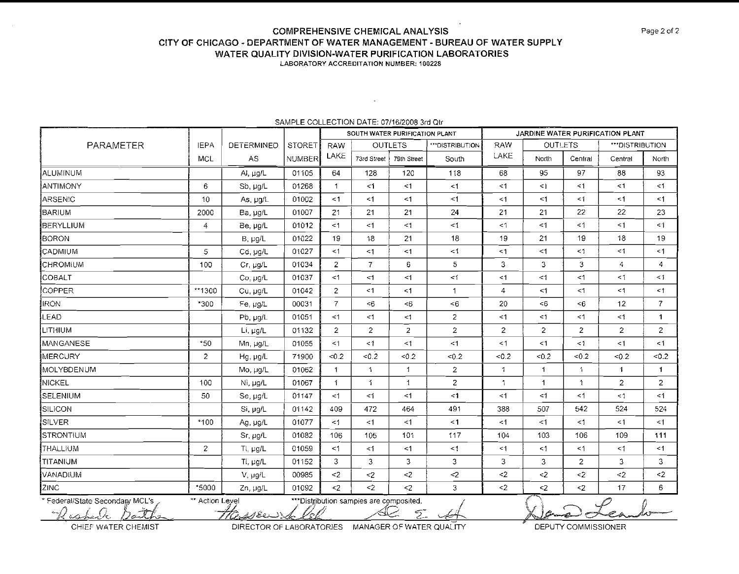## **COMPREHENSIVE CHEMICAL ANALYSIS CITY OF CHiCAGO** - **DEPARTMENT OF WATER MANAGEMENT** - **BUREAU OF WATER SUPPLY WATER QUALITY DIVISION-WATER PURIFICATION LABORATORIES**

LABORATORY ACCREDITATION NUMBER: 100228

|                                                  |                                                                                               |                   |               |                      | SOUTH WATER PURIFICATION PLANT |                |                 |              |                |              | JARDINE WATER PURIFICATION PLANT |                         |
|--------------------------------------------------|-----------------------------------------------------------------------------------------------|-------------------|---------------|----------------------|--------------------------------|----------------|-----------------|--------------|----------------|--------------|----------------------------------|-------------------------|
| PARAMETER                                        | <b>IEPA</b>                                                                                   | <b>DETERMINED</b> | <b>STORET</b> | <b>RAW</b>           |                                | <b>OUTLETS</b> | ***DISTRIBUTION | <b>RAW</b>   | <b>OUTLETS</b> |              | ***DISTRIBUTION                  |                         |
|                                                  | MCL                                                                                           | AS                | NUMBER        | LAKE                 | 73rd Street                    | 79th Street    | South           | LAKE         | <b>North</b>   | Central      | Central                          | North                   |
| IALUMINUM                                        |                                                                                               | Al, $\mu g/L$     | 01105         | 64                   | 128                            | 120            | 118             | 68           | 95             | 97           | 88                               | 93                      |
| ∤ANTIMONY                                        | 6                                                                                             | Sb, $\mu g/L$     | 01268         | $\mathbf{1}$         | $\leq 1$                       | $<$ 1          | $\leq$ 1        | <1           | $\leq$         | <1           | < 1                              | <1                      |
| ARSENIC                                          | 10                                                                                            | As $\mu q/L$      | 01002         | < 1                  | <1                             | <1             | $<$ 1           | $<$ 1        | <1             | <1           | <1                               | $<$ 1                   |
| BARIUM                                           | 2000                                                                                          | Ba, µg/L          | 01007         | 21                   | 21                             | 21             | 24              | 21           | 21             | 22           | 22                               | 23                      |
| BERYLLIUM                                        | $\overline{a}$                                                                                | Be µg/L           | 01012         | < 1                  | $<$ 1                          | <1             | $\leq 1$        | <1           | <1             | <1           | $<$ 1                            | $\leq$ 1                |
| ĮBORON                                           |                                                                                               | $B, \mu g/L$      | 01022         | 19                   | 18                             | 21             | 18              | 19           | 21             | 19           | 18                               | 19                      |
| <b>CADMIUM</b>                                   | 5                                                                                             | Cd, µg/L          | 01027         | $<$ 1                | <1                             | <1             | <1              | $<$ 1        | <1             | $<1\,$       | <1                               | < 1                     |
| <b>CHROMIUM</b>                                  | 100                                                                                           | Cr. µg/L          | 01034         | $\overline{2}$       | $\overline{7}$                 | 6              | 5               | 3            | 3              | 3            | 4                                | $\overline{\mathbf{4}}$ |
| <b>COBALT</b>                                    |                                                                                               | Co. µg/L          | 01037         | <1                   | <1                             | <1             | <1              | $<$ 1        | $\leq$ 1       | <1           | $\leq$ 1                         | $<$ 1                   |
| <b>COPPER</b>                                    | $*1300$                                                                                       | Cu. µg/L          | 01042         | $\overline{2}$       | <1                             | < 1            | $\mathbf{1}$    | 4            | <1             | $<$ 1        | $\leq$ 1                         | $\leq$ 1                |
| <b>IRON</b>                                      | *300                                                                                          | Fe, µg/L          | 00031         | $\overline{7}$       | <6                             | < 6            | $6$             | 20           | $6$            | < 6          | 12                               | 7 <sup>1</sup>          |
| LEAD                                             |                                                                                               | $Pb$ , $\mu q/L$  | 01051         | <1                   | <1                             | <1             | $\overline{a}$  | $<$ 1        | $\leq$ 1       | <1           | <1                               | $\mathbf{1}$            |
| LITHIUM                                          |                                                                                               | Li, µg/L          | 01132         | $\overline{2}$       | 2 <sup>1</sup>                 | $\overline{2}$ | $\overline{2}$  | 2            | $\overline{2}$ | 2            | $\overline{2}$                   | $2^{\circ}$             |
| MANGANESE                                        | *50                                                                                           | Mn, µg/L          | 01055         | $<$ 1                | $\leq$ 1                       | <1             | <1              | <1           | <1             | $<$ 1        | $\leq$ 1                         | <1                      |
| ∫MERCURY                                         | $\overline{2}$                                                                                | Hg, µg/L          | 71900         | < 0.2                | < 0.2                          | < 0.2          | < 0.2           | < 0.2        | < 0.2          | < 0.2        | < 0.2                            | < 0.2                   |
| <b>IMOLYBDENUM</b>                               |                                                                                               | Mo, µg/L          | 01062         | $\mathbf{1}$         | $\mathbf{1}$                   | 1              | $\overline{2}$  | 1            | $\mathbf{1}$   | $\mathbf{1}$ | $\mathbf{1}$                     | $\mathbf{1}$            |
| NICKEL                                           | 100                                                                                           | Ni, µg/L          | 01067         | $\blacktriangleleft$ | $\mathbf{1}$                   | $\mathbf{1}$   | $\mathbf{Z}$    | $\mathbf{1}$ | $\mathbf{1}$   | $\mathbf{1}$ | $\overline{2}$                   | $\overline{2}$          |
| SELENIUM                                         | 50                                                                                            | Se, $\mu g/L$     | 01147         | <1                   | <1                             | <1             | $\leq$ 1        | <1           | $\leq$ 1       | < 1          | $\leq$ 1                         | $<$ 1                   |
| <b>SILICON</b>                                   |                                                                                               | Si, µg/L          | 01142         | 409                  | 472                            | 464            | 491             | 388          | 507            | 542          | 524                              | 524                     |
| SILVER                                           | *100                                                                                          | Ag, µg/L          | 01077         | $\leq$ 1             | $<$ 1                          | <1             | $\leq$ 1        | <1           | $\leq 1$       | $\leq$ 1     | $\leq$ 1                         | <1                      |
| ISTRONTIUM                                       |                                                                                               | Sr $\mu$ g/L      | 01082         | 106                  | 105                            | 101            | 117             | 104          | 103            | 106          | 109                              | 111                     |
| <b>THALLIUM</b>                                  | 2                                                                                             | Tl, µg/L          | 01059         | $\leq$ 1             | $\leq 1$                       | $<$ 1          | $\leq$ 1        | <1           | $\leq$ 1       | $<$ 1        | $\leq 1$                         | <1                      |
| ≹TITANIUM                                        |                                                                                               | Ti, µg/L          | 01152         | 3                    | 3                              | 3              | 3               | 3            | 3              | 2            | 3                                | 3                       |
| VANADIUM                                         |                                                                                               | V, µg/L           | 00985         | $\leq$ 2             | $\leq$                         | $<$ 2          | $\leq$          | $\leq$       | $2$            | $2$          | $\leq$                           | $2$                     |
| ZINC                                             | *5000                                                                                         | Zn, µg/L          | 01092         | $2$                  | $\leq$                         | $<$ 2          | 3               | $2$          | $2$            | $<$ 2        | 17                               | 6                       |
| * Federal/State Secondary MCL's<br>eshale Datthe | ** Action Level<br>*** Distribution samples are composited.<br>ttasser så lel<br>Ź.<br>أستكبب |                   |               |                      |                                |                |                 |              |                |              |                                  |                         |

#### SAMPLE COLLECTION DATE: 07/16/2008 3rd Qtr

lan Ro

CHIEF WATER CHEMIST CHEMIT DIRECTOR OF LABORATORIES MANAGER OF WATER QUALITY **DEPUTY COMMISSIONER**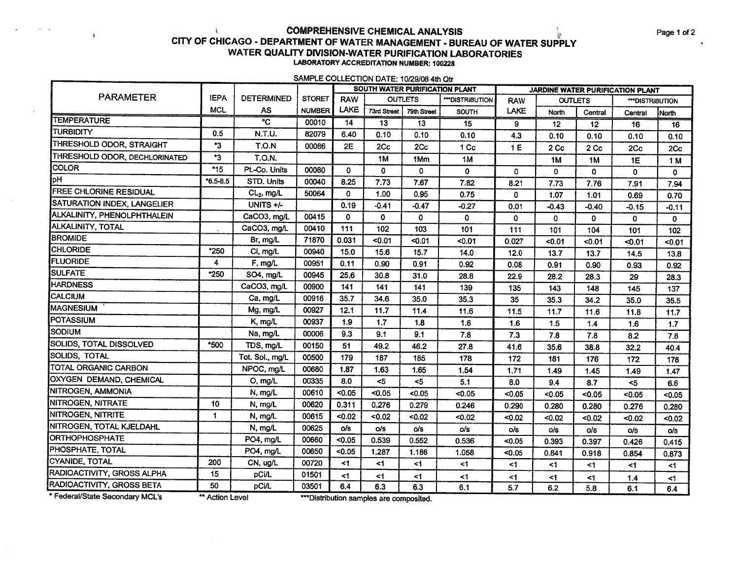### **COMPREHENSIVE CHEMICAL ANALYSIS** CITY OF CHICAGO - DEPARTMENT OF WATER MANAGEMENT - BUREAU OF WATER SUPPLY WATER QUALITY DIVISION-WATER PURIFICATION LABORATORIES **LABORATORY ACCREDITATION NUMBER: 100228**

SAMPLE COLLECTION DATE: 10/29/08 4th Qtr

|                                |              |                       |               |              | SOUTH WATER PURIFICATION PLANT |                |                 | <b>JARDINE WATER PURIFICATION PLANT</b> |                |                 |                 |             |  |  |
|--------------------------------|--------------|-----------------------|---------------|--------------|--------------------------------|----------------|-----------------|-----------------------------------------|----------------|-----------------|-----------------|-------------|--|--|
| <b>PARAMETER</b>               | <b>IEPA</b>  | <b>DETERMINED</b>     | <b>STORET</b> | <b>RAW</b>   |                                | <b>OUTLETS</b> | ***DISTRIBUTION | <b>RAW</b>                              |                | <b>OUTLETS</b>  | ***DISTRIBUTION |             |  |  |
|                                | <b>MCL</b>   | AS                    | <b>NUMBER</b> | LAKE         | 73rd Street                    | 79th Street    | SOUTH           | <b>LAKE</b>                             | North          | Central         | Central         | North       |  |  |
| <b>TEMPERATURE</b>             |              | $\overline{\text{c}}$ | 00010         | 14           | 13                             | 13             | 15              | 9                                       | 12             | 12              | 16              | 16          |  |  |
| <b>TURBIDITY</b>               | 0.5          | N.T.U.                | 82079         | 6.40         | 0.10                           | 0.10           | 0.10            | 4.3                                     | 0.10           | 0.10            | 0.10            | 0.10        |  |  |
| THRESHOLD ODOR, STRAIGHT       | *3           | T.O.N                 | 00086         | 2E           | 2Cc                            | 2Cc            | 1 Cc            | 1E                                      | 2 Cc           | 2 <sub>cc</sub> | 2Cc             | 2Cc         |  |  |
| THRESHOLD ODOR, DECHLORINATED  | *3           | <b>T.O.N.</b>         |               |              | 1M                             | 1Mm            | 1M              |                                         | 1 <sub>M</sub> | 1M              | 1E              | 1 M         |  |  |
| <b>COLOR</b>                   | $*15$        | Pt.-Co. Units         | 00080         | 0            | 0                              | $\mathbf{0}$   | 0               | 0                                       | 0              | $\mathbf 0$     | 0               | 0           |  |  |
| þН                             | $*6.5 - 8.5$ | STD. Units            | 00040         | 8.25         | 7.73                           | 7.67           | 7.82            | 8.21                                    | 7.73           | 7.76            | 7.91            | 7.94        |  |  |
| <b>FREE CHLORINE RESIDUAL</b>  |              | $CL2$ , mg/L          | 50064         | $\mathbf{0}$ | 1.00                           | 0.95           | 0.75            | 0                                       | 1.07           | 1.01            | 0.69            | 0.70        |  |  |
| SATURATION INDEX, LANGELIER    |              | UNITS +/-             |               | 0.19         | $-0.41$                        | $-0.47$        | $-0.27$         | 0.01                                    | $-0.43$        | $-0.40$         | $-0.15$         | $-0.11$     |  |  |
| ALKALINITY, PHENOLPHTHALEIN    |              | CaCO3, mg/L           | 00415         | 0            | 0                              | $\mathbf{0}$   | 0               | $\mathbf{0}$                            | 0              | $\mathbf 0$     | 0               | $\mathbf 0$ |  |  |
| ALKALINITY, TOTAL              |              | CaCO3, mg/L           | 00410         | 111          | 102                            | 103            | 101             | 111                                     | 101            | 104             | 101             | 102         |  |  |
| <b>BROMIDE</b>                 |              | Br, mg/L              | 71870         | 0.031        | < 0.01                         | $0.01$         | $0.01$          | 0.027                                   | < 0.01         | < 0.01          | < 0.01          | < 0.01      |  |  |
| <b>CHLORIDE</b>                | *250         | CI, mg/L              | 00940         | 15.0         | 15.6                           | 15.7           | 14.0            | 12.0                                    | 13.7           | 13.7            | 14.5            | 13.8        |  |  |
| FLUORIDE                       | 4            | F, mg/L               | 00951         | 0.11         | 0.90                           | 0.91           | 0.92            | 0.08                                    | 0.91           | 0.90            | 0.93            | 0.92        |  |  |
| SULFATE                        | *250         | SO4, mg/L             | 00945         | 25.6         | 30.8                           | 31.0           | 28.8            | 22.9                                    | 28.2           | 28.3            | 29              | 28.3        |  |  |
| <b>HARDNESS</b>                |              | CaCO3, mg/L           | 00900         | 141          | 141                            | 141            | 139             | 135                                     | 143            | 148             | 145             | 137         |  |  |
| CALCIUM                        |              | Ca, mg/L              | 00916         | 35.7         | 34.6                           | 35.0           | 35.3            | 35                                      | 35.3           | 34.2            | 35.0            | 35.5        |  |  |
| <b>MAGNESIUM</b>               |              | Mg, mg/L              | 00927         | 12.1         | 11.7                           | 11.4           | 11.6            | 11.5                                    | 11.7           | 11.6            | 11.8            | 11.7        |  |  |
| POTASSIUM                      |              | K, mg/L               | 00937         | 1.9          | 1.7                            | 1.8            | 1.6             | 1.6                                     | 1.5            | 1.4             | 1.6             | $1.7$       |  |  |
| <b>SODIUM</b>                  |              | Na, mg/L              | 00006         | 9.3          | 9.1                            | 9.1            | 7.8             | 7.3                                     | 7.8            | 7.8             | 8.2             | 7.8         |  |  |
| <b>SOLIDS, TOTAL DISSOLVED</b> | *500         | TDS, mg/L             | 00150         | 51           | 49.2                           | 46.2           | 27.8            | 41.6                                    | 35.6           | 38.8            | 32.2            | 40.4        |  |  |
| SOLIDS, TOTAL                  |              | Tot. Sol., mg/L       | 00500         | 179          | 187                            | 185            | 178             | 172                                     | 181            | 176             | 172             | 178         |  |  |
| TOTAL ORGANIC CARBON           |              | NPOC, mg/L            | 00680         | 1.87         | 1.63                           | 1.65           | 1.54            | 1.71                                    | 1.49           | 1.45            | 1.49            | 1.47        |  |  |
| <b>OXYGEN DEMAND, CHEMICAL</b> |              | O, mg/L               | 00335         | 8.0          | $5$                            | 5              | 5.1             | 8.0                                     | 9.4            | 8.7             | $5$             | 6.6         |  |  |
| NITROGEN, AMMONIA              |              | N, mg/L               | 00610         | $0.05$       | < 0.05                         | < 0.05         | < 0.05          | $0.05$                                  | < 0.05         | < 0.05          | < 0.05          | < 0.05      |  |  |
| <b>NITROGEN, NITRATE</b>       | 10           | N, mg/L               | 00620         | 0.311        | 0.276                          | 0.279          | 0.246           | 0.290                                   | 0.280          | 0.280           | 0.276           | 0.280       |  |  |
| <b>NITROGEN, NITRITE</b>       | $\mathbf 1$  | N, mg/L               | 00615         | < 0.02       | $0.02$                         | < 0.02         | < 0.02          | < 0.02                                  | < 0.02         | < 0.02          | < 0.02          | < 0.02      |  |  |
| NITROGEN, TOTAL KJELDAHL       |              | N, mg/L               | 00625         | o/s          | o/s                            | o/s            | o/s             | o/s                                     | o/s            | o/s             | o/s             | o/s         |  |  |
| ORTHOPHOSPHATE                 |              | PO4, mg/L             | 00660         | < 0.05       | 0.539                          | 0.552          | 0.536           | < 0.05                                  | 0.393          | 0.397           | 0.426           | 0.415       |  |  |
| <b>PHOSPHATE, TOTAL</b>        |              | PO4, mg/L             | 00650         | < 0.05       | 1.287                          | 1.186          | 1.058           | < 0.05                                  | 0.841          | 0.918           | 0.854           | 0.873       |  |  |
| <b>CYANIDE, TOTAL</b>          | 200          | CN, ug/L              | 00720         | <1           | <1                             | <1             | $1$             | <1                                      | $1$            | <1              | $<$ 1           | $<$ 1       |  |  |
| RADIOACTIVITY, GROSS ALPHA     | 15           | pCi/L                 | 01501         | <1           | <1                             | <1             | <1              | < 1                                     | $\leq$ 1       | $1$             | 1.4             | $<$ 1       |  |  |
| RADIOACTIVITY, GROSS BETA      | 50           | <b>pCi/L</b>          | 03501         | 6.4          | 6.3                            | 6.3            | 6.1             | 5.7                                     | 6.2            | 5.8             | 6.1             | 6.4         |  |  |
| $*F = 1 - 100$                 |              |                       |               |              |                                |                |                 |                                         |                |                 |                 |             |  |  |

Federal/State Secondary MCL's

 $\mathbf{1}$ 

\*\* Action Level

\*\*\*Distribution samples are composited.